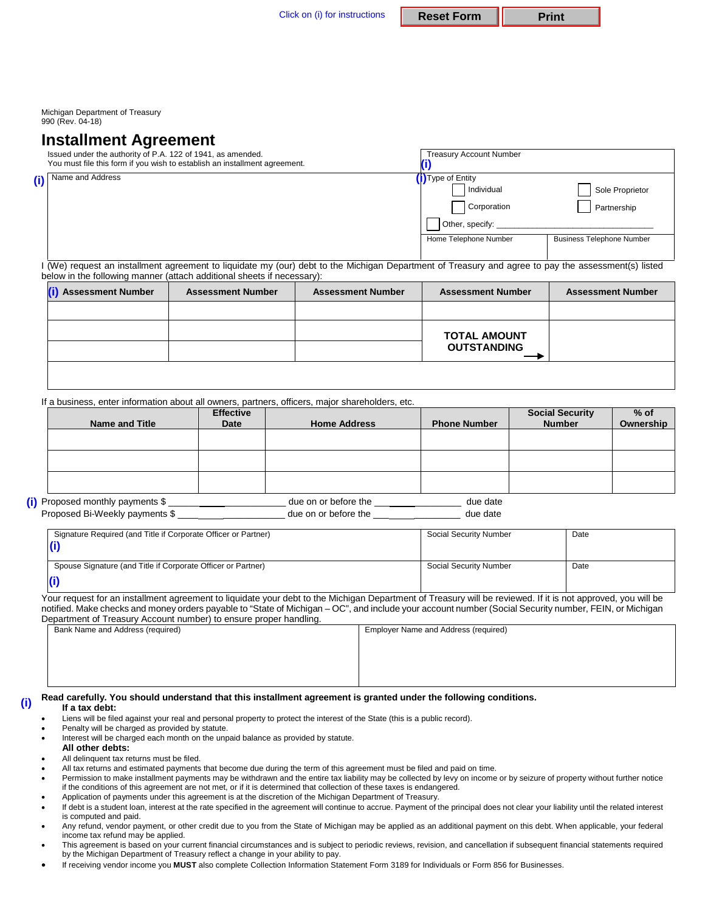Michigan Department of Treasury 990 (Rev. 04-18)

## **Installment Agreement**

|                                                                                                                                                                                                                             | Issued under the authority of P.A. 122 of 1941, as amended. | You must file this form if you wish to establish an installment agreement. | <b>Treasury Account Number</b>                                                                            |                          |                                  |  |  |  |
|-----------------------------------------------------------------------------------------------------------------------------------------------------------------------------------------------------------------------------|-------------------------------------------------------------|----------------------------------------------------------------------------|-----------------------------------------------------------------------------------------------------------|--------------------------|----------------------------------|--|--|--|
| (i)                                                                                                                                                                                                                         | Name and Address                                            |                                                                            | <b>D</b> Type of Entity<br>Individual<br>Sole Proprietor<br>Corporation<br>Partnership<br>Other, specify: |                          |                                  |  |  |  |
|                                                                                                                                                                                                                             |                                                             |                                                                            |                                                                                                           | Home Telephone Number    | <b>Business Telephone Number</b> |  |  |  |
| (We) request an installment agreement to liquidate my (our) debt to the Michigan Department of Treasury and agree to pay the assessment(s) listed<br>below in the following manner (attach additional sheets if necessary): |                                                             |                                                                            |                                                                                                           |                          |                                  |  |  |  |
|                                                                                                                                                                                                                             | <b>Assessment Number</b>                                    | <b>Assessment Number</b>                                                   | <b>Assessment Number</b>                                                                                  | <b>Assessment Number</b> | <b>Assessment Number</b>         |  |  |  |
|                                                                                                                                                                                                                             |                                                             |                                                                            |                                                                                                           |                          |                                  |  |  |  |

|  | <b>TOTAL AMOUNT</b> |  |
|--|---------------------|--|
|  | <b>OUTSTANDING</b>  |  |
|  |                     |  |

If a business, enter information about all owners, partners, officers, major shareholders, etc.

| <b>Name and Title</b>                                              | <b>Effective</b><br><b>Date</b> | <b>Home Address</b>                          | <b>Phone Number</b>  | <b>Social Security</b><br><b>Number</b> | $%$ of<br>Ownership |
|--------------------------------------------------------------------|---------------------------------|----------------------------------------------|----------------------|-----------------------------------------|---------------------|
|                                                                    |                                 |                                              |                      |                                         |                     |
|                                                                    |                                 |                                              |                      |                                         |                     |
|                                                                    |                                 |                                              |                      |                                         |                     |
| (i) Proposed monthly payments \$<br>Proposed Bi-Weekly payments \$ |                                 | due on or before the<br>due on or before the | due date<br>due date |                                         |                     |

| Signature Required (and Title if Corporate Officer or Partner) | Social Security Number | Date |
|----------------------------------------------------------------|------------------------|------|
| Spouse Signature (and Title if Corporate Officer or Partner)   | Social Security Number | Date |
|                                                                |                        |      |

Your request for an installment agreement to liquidate your debt to the Michigan Department of Treasury will be reviewed. If it is not approved, you will be notified. Make checks and money orders payable to "State of Michigan – OC", and include your account number (Social Security number, FEIN, or Michigan Department of Treasury Account number) to ensure proper handling.

| Bank Name and Address (required) | Employer Name and Address (required) |
|----------------------------------|--------------------------------------|
|                                  |                                      |
|                                  |                                      |
|                                  |                                      |
|                                  |                                      |
|                                  | .                                    |

### **Read carefully. You should understand that this installment agreement is granted under the following conditions. (i)**

### **If a tax debt:**

- Liens will be filed against your real and personal property to protect the interest of the State (this is a public record).
- Penalty will be charged as provided by statute.
- Interest will be charged each month on the unpaid balance as provided by statute.
- **All other debts:**
- All delinquent tax returns must be filed.
- All tax returns and estimated payments that become due during the term of this agreement must be filed and paid on time.
- Permission to make installment payments may be withdrawn and the entire tax liability may be collected by levy on income or by seizure of property without further notice if the conditions of this agreement are not met, or if it is determined that collection of these taxes is endangered.
- Application of payments under this agreement is at the discretion of the Michigan Department of Treasury.
- If debt is a student loan, interest at the rate specified in the agreement will continue to accrue. Payment of the principal does not clear your liability until the related interest is computed and paid.
- Any refund, vendor payment, or other credit due to you from the State of Michigan may be applied as an additional payment on this debt. When applicable, your federal income tax refund may be applied.
- This agreement is based on your current financial circumstances and is subject to periodic reviews, revision, and cancellation if subsequent financial statements required by the Michigan Department of Treasury reflect a change in your ability to pay.
- If receiving vendor income you **MUST** also complete Collection Information Statement Form 3189 for Individuals or Form 856 for Businesses.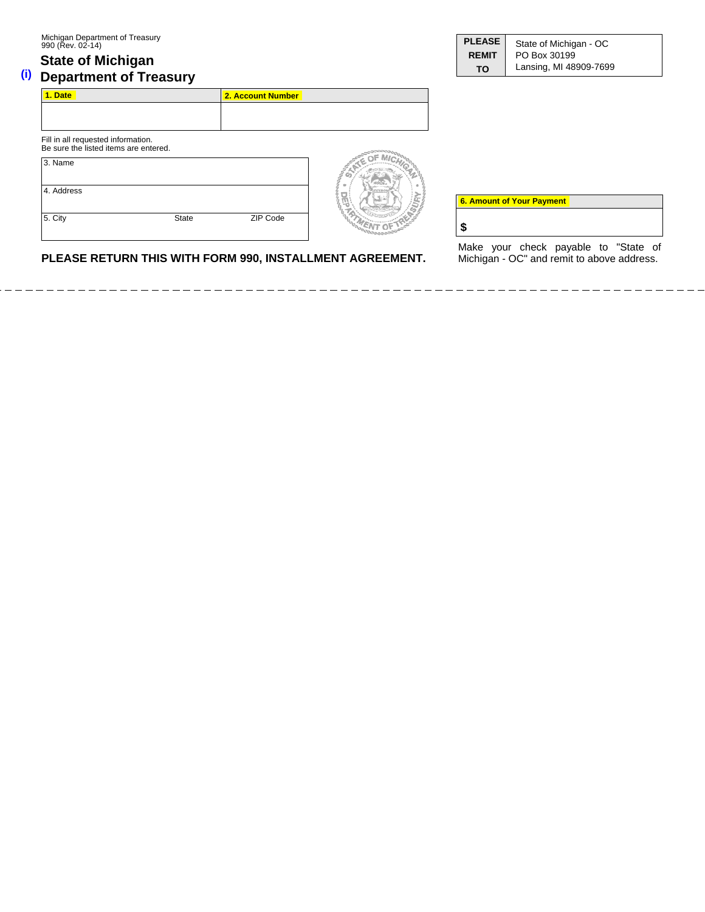## **State of Michigan (i)** Department of Treasury

| <b>PLEASE</b> | State of Michigan - OC |  |  |  |  |
|---------------|------------------------|--|--|--|--|
| <b>REMIT</b>  | PO Box 30199           |  |  |  |  |
| TΟ            | Lansing, MI 48909-7699 |  |  |  |  |

| 1. Date                                                                     |              | 2. Account Number |  |
|-----------------------------------------------------------------------------|--------------|-------------------|--|
|                                                                             |              |                   |  |
| Fill in all requested information.<br>Be sure the listed items are entered. |              |                   |  |
| 3. Name                                                                     |              |                   |  |
| 4. Address                                                                  |              |                   |  |
| 5. City                                                                     | <b>State</b> | ZIP Code          |  |

Make your check payable to "State of Michigan - OC" and remit to above address.

**6. Amount of Your Payment 6. Amount of Your Payment**

**\$**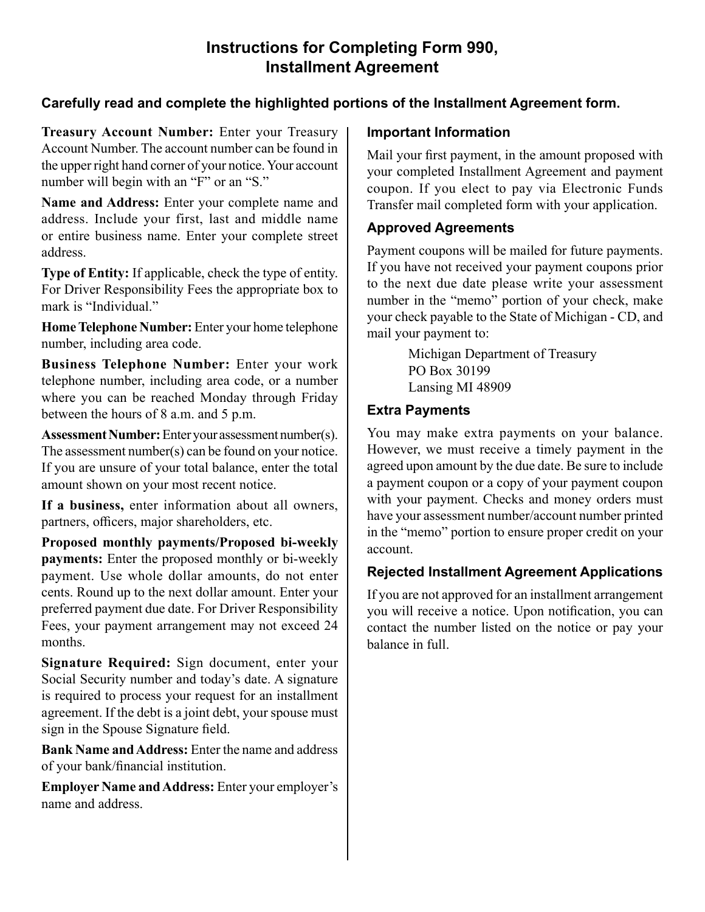# **Instructions for Completing Form 990, Installment Agreement**

# **Carefully read and complete the highlighted portions of the Installment Agreement form.**

**Treasury Account Number:** Enter your Treasury **Important Information**<br>Account Number. The account number can be found in

**Name and Address:** Enter your complete name and Transfer mail completed form with your application.<br>address. Include your first, last and middle name address. Include your first, last and inidate name **Approved Agreements** or entire business name. Enter your complete street

**Home Telephone Number:** Enter your home telephone<br>
mail your payment to:<br>
mail your payment to:<br> **EXECUTE:** Michigan Department of Treasury<br>
relephone number, including area code, or a number<br>  $\begin{bmatrix}\n\text{J} & \text{J} & \text{J} & \text$ 

telephone number, including area code, or a number<br>where you can be reached Monday through Friday Lansing MI 48909<br>between the hours of 8 a.m. and 5 n m between the hours of 8 a.m. and 5 p.m.

The assessment number(s) can be found on your notice. However, we must receive a timely payment in the  $\left| \right|$  of your total balance, enter the total agreed upon amount by the due date. Be sure to include If you are unsure of your total balance, enter the total

**payments:** Enter the proposed monthly or bi-weekly payment. Use whole dollar amounts, do not enter **Rejected Installment Agreement Applications** cents. Round up to the next dollar amount. Enter your If you are not approved for an installment arrangement<br>preferred payment due date. For Driver Responsibility vou will receive a notice. Upon notification you can preferred payment due date. For Driver Responsibility vou will receive a notice. Upon notification, you can<br>Fees, your payment arrangement may not exceed 24 contact the number listed on the notice or pay your Fees, your payment arrangement may not exceed  $24$  contact the number listed on the notice or pay your halance in full

**Signature Required:** Sign document, enter your Social Security number and today's date. A signature is required to process your request for an installment agreement. If the debt is a joint debt, your spouse must sign in the Spouse Signature field.

**Bank Name and Address:** Enter the name and address of your bank/financial institution.

**Employer Name and Address:** Enter your employer's name and address.

Account Number. The account number can be found in<br>the upper right hand corner of your notice. Your account<br>number will begin with an "F" or an "S."<br>Name and Address: Enter your complete name and<br>Transfer mail completed fo

address.<br> **Payment coupons will be mailed for future payments.**<br>
If you have not received your payment coupons prior **Type of Entity:** If applicable, check the type of entity.<br>
For Driver Responsibility Fees the appropriate box to<br>
mark is "Individual."<br>
The next due date please write your assessment<br>
number in the "memo" portion of your

**Assessment Number:** Enter your assessment number(s). You may make extra payments on your balance.<br>The assessment number(s) can be found on your notice. However, we must receive a timely payment in the amount shown on your most recent notice.<br> **a** payment coupon or a copy of your payment coupon<br> **Example 16** a payment. Checks and money orders must If a business, enter information about all owners,<br>partners, officers, major shareholders, etc.<br>**Proposed monthly payments/Proposed bi-weekly** account.

balance in full.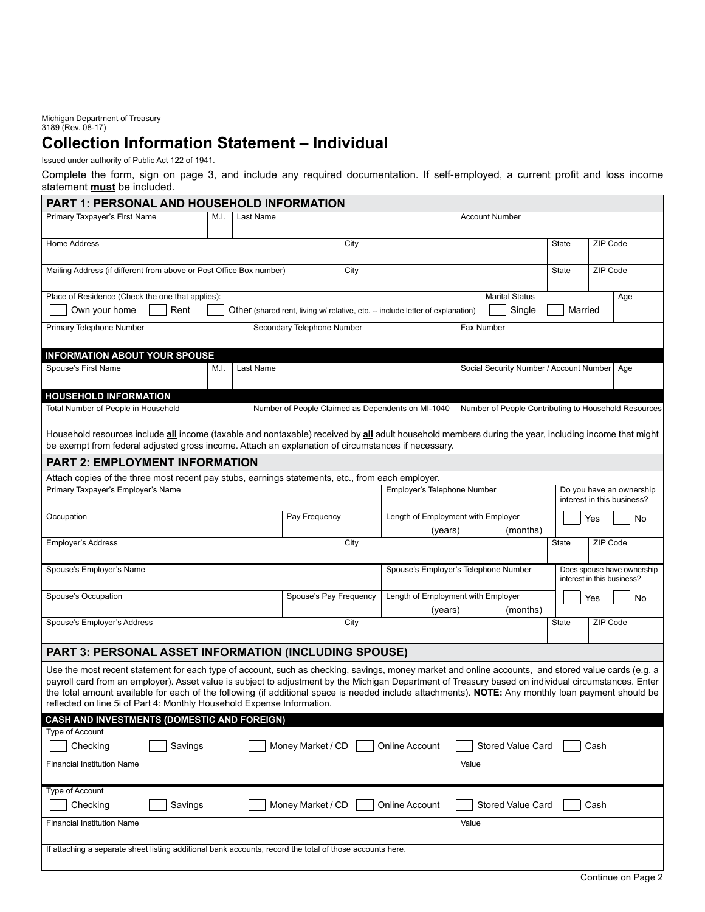Michigan Department of Treasury 3189 (Rev. 08-17)

# **Collection Information Statement – Individual**

Issued under authority of Public Act 122 of 1941.

Complete the form, sign on page 3, and include any required documentation. If self-employed, a current profit and loss income statement **must** be included.

| PART 1: PERSONAL AND HOUSEHOLD INFORMATION                                                                                                                                                                                                                                                                                                                                                                                                                                                                                                  |      |           |                            |      |                                                                                       |       |                                         |          |                            |          |                                                      |
|---------------------------------------------------------------------------------------------------------------------------------------------------------------------------------------------------------------------------------------------------------------------------------------------------------------------------------------------------------------------------------------------------------------------------------------------------------------------------------------------------------------------------------------------|------|-----------|----------------------------|------|---------------------------------------------------------------------------------------|-------|-----------------------------------------|----------|----------------------------|----------|------------------------------------------------------|
| Primary Taxpayer's First Name                                                                                                                                                                                                                                                                                                                                                                                                                                                                                                               | M.I. | Last Name |                            |      |                                                                                       |       | <b>Account Number</b>                   |          |                            |          |                                                      |
| <b>Home Address</b>                                                                                                                                                                                                                                                                                                                                                                                                                                                                                                                         |      |           | $\overline{C}$ ity         |      | <b>State</b>                                                                          |       |                                         | ZIP Code |                            |          |                                                      |
| Mailing Address (if different from above or Post Office Box number)                                                                                                                                                                                                                                                                                                                                                                                                                                                                         |      |           |                            | City |                                                                                       |       |                                         |          | <b>State</b>               | ZIP Code |                                                      |
| Place of Residence (Check the one that applies):                                                                                                                                                                                                                                                                                                                                                                                                                                                                                            |      |           |                            |      |                                                                                       |       | <b>Marital Status</b>                   |          |                            |          | Age                                                  |
| Own your home<br>Rent                                                                                                                                                                                                                                                                                                                                                                                                                                                                                                                       |      |           |                            |      | Other (shared rent, living w/ relative, etc. -- include letter of explanation)        |       | Single                                  |          | Married                    |          |                                                      |
| Primary Telephone Number                                                                                                                                                                                                                                                                                                                                                                                                                                                                                                                    |      |           | Secondary Telephone Number |      |                                                                                       |       | Fax Number                              |          |                            |          |                                                      |
| <b>INFORMATION ABOUT YOUR SPOUSE</b>                                                                                                                                                                                                                                                                                                                                                                                                                                                                                                        |      |           |                            |      |                                                                                       |       |                                         |          |                            |          |                                                      |
| Spouse's First Name                                                                                                                                                                                                                                                                                                                                                                                                                                                                                                                         | M.I. | Last Name |                            |      |                                                                                       |       | Social Security Number / Account Number |          |                            |          | Age                                                  |
| <b>HOUSEHOLD INFORMATION</b>                                                                                                                                                                                                                                                                                                                                                                                                                                                                                                                |      |           |                            |      |                                                                                       |       |                                         |          |                            |          |                                                      |
| Total Number of People in Household                                                                                                                                                                                                                                                                                                                                                                                                                                                                                                         |      |           |                            |      | Number of People Claimed as Dependents on MI-1040                                     |       |                                         |          |                            |          | Number of People Contributing to Household Resources |
| Household resources include all income (taxable and nontaxable) received by all adult household members during the year, including income that might<br>be exempt from federal adjusted gross income. Attach an explanation of circumstances if necessary.                                                                                                                                                                                                                                                                                  |      |           |                            |      |                                                                                       |       |                                         |          |                            |          |                                                      |
| PART 2: EMPLOYMENT INFORMATION                                                                                                                                                                                                                                                                                                                                                                                                                                                                                                              |      |           |                            |      |                                                                                       |       |                                         |          |                            |          |                                                      |
| Attach copies of the three most recent pay stubs, earnings statements, etc., from each employer.                                                                                                                                                                                                                                                                                                                                                                                                                                            |      |           |                            |      |                                                                                       |       |                                         |          |                            |          |                                                      |
| Primary Taxpayer's Employer's Name                                                                                                                                                                                                                                                                                                                                                                                                                                                                                                          |      |           |                            |      | Employer's Telephone Number<br>Do you have an ownership<br>interest in this business? |       |                                         |          |                            |          |                                                      |
| Occupation                                                                                                                                                                                                                                                                                                                                                                                                                                                                                                                                  |      |           | Pay Frequency              |      | Length of Employment with Employer<br>Yes<br>(years)<br>(months)                      |       |                                         | No       |                            |          |                                                      |
| <b>Employer's Address</b>                                                                                                                                                                                                                                                                                                                                                                                                                                                                                                                   |      |           |                            | City |                                                                                       |       |                                         |          | <b>State</b>               | ZIP Code |                                                      |
| Spouse's Employer's Name                                                                                                                                                                                                                                                                                                                                                                                                                                                                                                                    |      |           |                            |      | Spouse's Employer's Telephone Number                                                  |       |                                         |          | interest in this business? |          | Does spouse have ownership                           |
| Spouse's Occupation                                                                                                                                                                                                                                                                                                                                                                                                                                                                                                                         |      |           | Spouse's Pay Frequency     |      | Length of Employment with Employer<br>(years)                                         |       | (months)                                |          |                            | Yes      | No                                                   |
| Spouse's Employer's Address                                                                                                                                                                                                                                                                                                                                                                                                                                                                                                                 |      |           |                            | City |                                                                                       |       |                                         |          | <b>State</b>               | ZIP Code |                                                      |
| PART 3: PERSONAL ASSET INFORMATION (INCLUDING SPOUSE)                                                                                                                                                                                                                                                                                                                                                                                                                                                                                       |      |           |                            |      |                                                                                       |       |                                         |          |                            |          |                                                      |
| Use the most recent statement for each type of account, such as checking, savings, money market and online accounts, and stored value cards (e.g. a<br>payroll card from an employer). Asset value is subject to adjustment by the Michigan Department of Treasury based on individual circumstances. Enter<br>the total amount available for each of the following (if additional space is needed include attachments). NOTE: Any monthly loan payment should be<br>reflected on line 5i of Part 4: Monthly Household Expense Information. |      |           |                            |      |                                                                                       |       |                                         |          |                            |          |                                                      |
| <b>CASH AND INVESTMENTS (DOMESTIC AND FOREIGN)</b>                                                                                                                                                                                                                                                                                                                                                                                                                                                                                          |      |           |                            |      |                                                                                       |       |                                         |          |                            |          |                                                      |
| <b>Type of Account</b><br>Checking<br>Savings<br>Money Market / CD<br>Stored Value Card<br>Cash<br>Online Account                                                                                                                                                                                                                                                                                                                                                                                                                           |      |           |                            |      |                                                                                       |       |                                         |          |                            |          |                                                      |
| <b>Financial Institution Name</b>                                                                                                                                                                                                                                                                                                                                                                                                                                                                                                           |      |           |                            |      |                                                                                       | Value |                                         |          |                            |          |                                                      |
| <b>Type of Account</b>                                                                                                                                                                                                                                                                                                                                                                                                                                                                                                                      |      |           |                            |      |                                                                                       |       |                                         |          |                            |          |                                                      |
| Checking<br>Savings<br>Money Market / CD                                                                                                                                                                                                                                                                                                                                                                                                                                                                                                    |      |           |                            |      | Online Account                                                                        |       | Stored Value Card                       |          |                            | Cash     |                                                      |
| <b>Financial Institution Name</b>                                                                                                                                                                                                                                                                                                                                                                                                                                                                                                           |      |           |                            |      |                                                                                       | Value |                                         |          |                            |          |                                                      |
| If attaching a separate sheet listing additional bank accounts, record the total of those accounts here.                                                                                                                                                                                                                                                                                                                                                                                                                                    |      |           |                            |      |                                                                                       |       |                                         |          |                            |          |                                                      |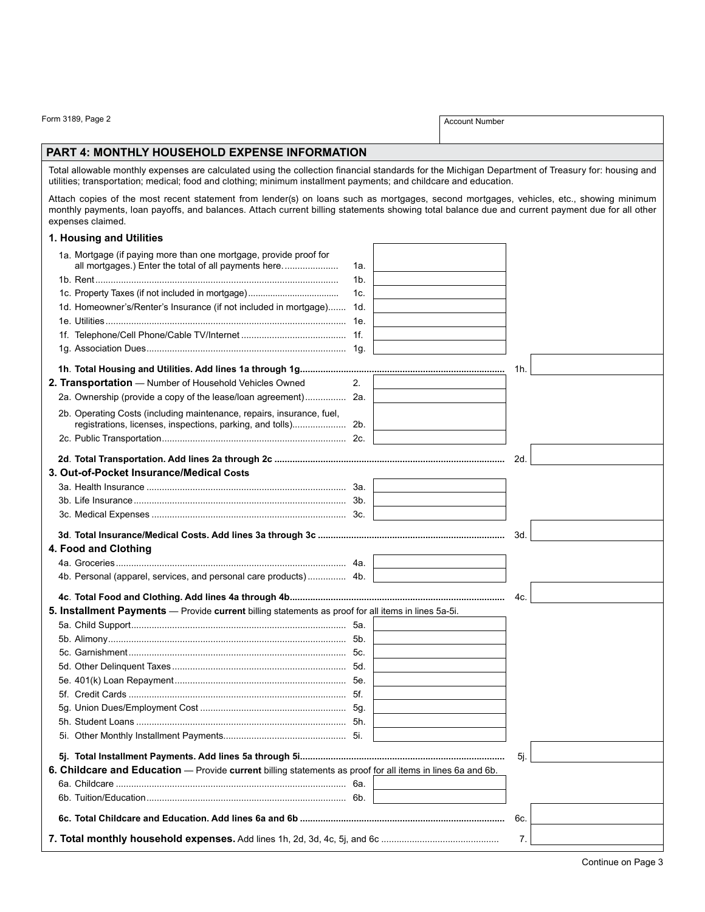Form 3189, Page 2 Account Number

### **Part 4: Monthly household expense information**

Total allowable monthly expenses are calculated using the collection financial standards for the Michigan Department of Treasury for: housing and utilities; transportation; medical; food and clothing; minimum installment payments; and childcare and education.

Attach copies of the most recent statement from lender(s) on loans such as mortgages, second mortgages, vehicles, etc., showing minimum monthly payments, loan payoffs, and balances. Attach current billing statements showing total balance due and current payment due for all other expenses claimed.

## **1. Housing and Utilities**

| n muaanny ana uunuca                                                                                       |                |     |
|------------------------------------------------------------------------------------------------------------|----------------|-----|
| 1a. Mortgage (if paying more than one mortgage, provide proof for                                          |                |     |
| all mortgages.) Enter the total of all payments here                                                       | 1a.            |     |
|                                                                                                            | 1 <sub>b</sub> |     |
|                                                                                                            | 1c.            |     |
| 1d. Homeowner's/Renter's Insurance (if not included in mortgage) 1d.                                       |                |     |
|                                                                                                            |                |     |
|                                                                                                            |                |     |
|                                                                                                            |                |     |
|                                                                                                            |                | 1h. |
| 2. Transportation - Number of Household Vehicles Owned                                                     | 2.             |     |
| 2a. Ownership (provide a copy of the lease/loan agreement) 2a.                                             |                |     |
| 2b. Operating Costs (including maintenance, repairs, insurance, fuel,                                      |                |     |
|                                                                                                            |                |     |
|                                                                                                            |                |     |
|                                                                                                            |                | 2d. |
| 3. Out-of-Pocket Insurance/Medical Costs                                                                   |                |     |
|                                                                                                            |                |     |
|                                                                                                            |                |     |
|                                                                                                            |                |     |
|                                                                                                            |                | 3d. |
| 4. Food and Clothing                                                                                       |                |     |
|                                                                                                            |                |     |
| 4b. Personal (apparel, services, and personal care products) 4b.                                           |                |     |
|                                                                                                            |                |     |
|                                                                                                            |                | 4c. |
| 5. Installment Payments - Provide current billing statements as proof for all items in lines 5a-5i.        |                |     |
|                                                                                                            |                |     |
|                                                                                                            |                |     |
|                                                                                                            |                |     |
|                                                                                                            |                |     |
|                                                                                                            |                |     |
|                                                                                                            |                |     |
|                                                                                                            |                |     |
|                                                                                                            |                |     |
|                                                                                                            |                |     |
|                                                                                                            |                | 5j. |
| 6. Childcare and Education - Provide current billing statements as proof for all items in lines 6a and 6b. |                |     |
|                                                                                                            |                |     |
|                                                                                                            |                |     |
|                                                                                                            |                | 6c. |
|                                                                                                            |                | 7.  |
|                                                                                                            |                |     |